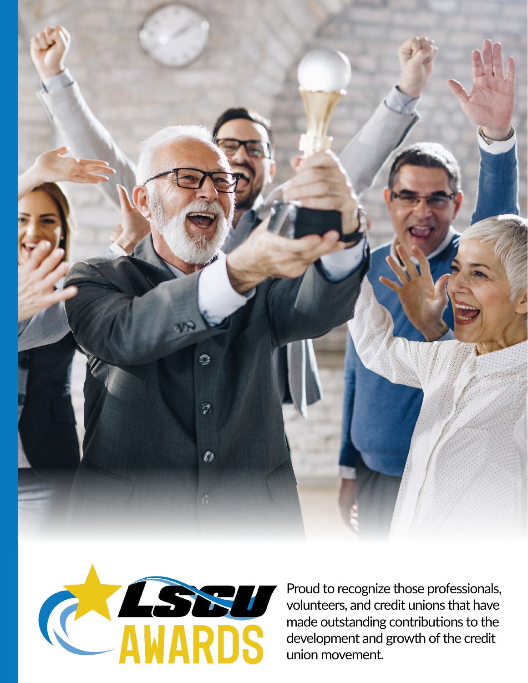



Proud to recognize those professionals, volunteers, and credit unions that have made outstanding contributions to the development and growth of the credit union movement.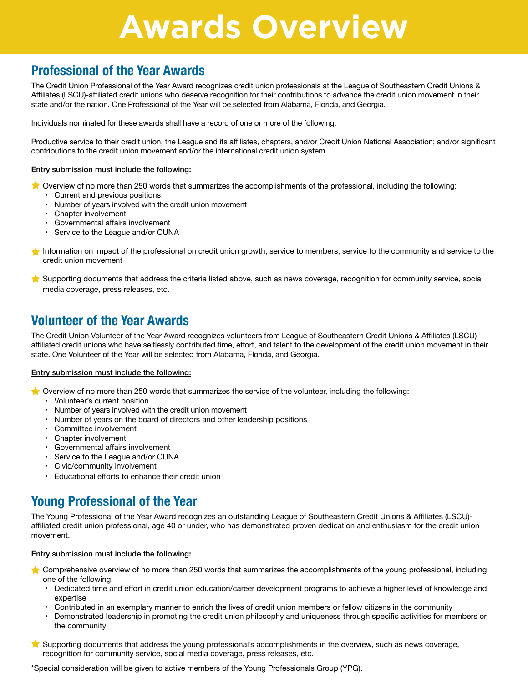## **Awards Overview**

### **Professional of the Year Awards**

The Credit Union Professional of the Year Award recognizes credit union professionals at the League of Southeastern Credit Unions & Affiliates (LSCU)-affiliated credit unions who deserve recognition for their contributions to advance the credit union movement in their state and/or the nation. One Professional of the Year will be selected from Alabama, Florida, and Georgia.

Individuals nominated for these awards shall have a record of one or more of the following:

Productive service to their credit union, the League and its affiliates, chapters, and/or Credit Union National Association; and/or significant contributions to the credit union movement and/or the international credit union system.

#### Entry submission must include the following:

- Overview of no more than 250 words that summarizes the accomplishments of the professional, including the following:
	- Current and previous positions
	- Number of years involved with the credit union movement
	- Chapter involvement
	- Governmental affairs involvement
	- Service to the League and/or CUNA
- Information on impact of the professional on credit union growth, service to members, service to the community and service to the credit union movement
- Supporting documents that address the criteria listed above, such as news coverage, recognition for community service, social media coverage, press releases, etc.

### **Volunteer of the Year Awards**

The Credit Union Volunteer of the Year Award recognizes volunteers from League of Southeastern Credit Unions & Affiliates (LSCU) affiliated credit unions who have selflessly contributed time, effort, and talent to the development of the credit union movement in their state. One Volunteer of the Year will be selected from Alabama, Florida, and Georgia.

#### Entry submission must include the following:

- $\bigstar$  Overview of no more than 250 words that summarizes the service of the volunteer, including the following:
	- Volunteer's current position
	- Number of years involved with the credit union movement
	- Number of years on the board of directors and other leadership positions
	- Committee involvement
	- Chapter involvement
	- Governmental affairs involvement
	- Service to the League and/or CUNA
	- Civic/community involvement
	- Educational efforts to enhance their credit union

## **Young Professional of the Year**

The Young Professional of the Year Award recognizes an outstanding League of Southeastern Credit Unions & Affiliates (LSCU) affiliated credit union professional, age 40 or under, who has demonstrated proven dedication and enthusiasm for the credit union movement.

#### Entry submission must include the following:

- Comprehensive overview of no more than 250 words that summarizes the accomplishments of the young professional, including one of the following:
	- Dedicated time and effort in credit union education/career development programs to achieve a higher level of knowledge and expertise
	- Contributed in an exemplary manner to enrich the lives of credit union members or fellow citizens in the community
	- Demonstrated leadership in promoting the credit union philosophy and uniqueness through specific activities for members or the community
- Supporting documents that address the young professional's accomplishments in the overview, such as news coverage, recognition for community service, social media coverage, press releases, etc.

\*Special consideration will be given to active members of the Young Professionals Group (YPG).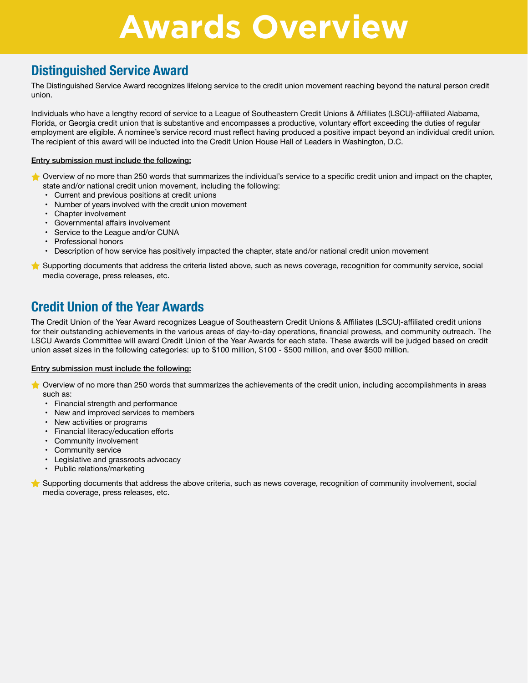## **Awards Overview**

### **Distinguished Service Award**

The Distinguished Service Award recognizes lifelong service to the credit union movement reaching beyond the natural person credit union.

Individuals who have a lengthy record of service to a League of Southeastern Credit Unions & Affiliates (LSCU)-affiliated Alabama, Florida, or Georgia credit union that is substantive and encompasses a productive, voluntary effort exceeding the duties of regular employment are eligible. A nominee's service record must reflect having produced a positive impact beyond an individual credit union. The recipient of this award will be inducted into the Credit Union House Hall of Leaders in Washington, D.C.

### Entry submission must include the following:

Overview of no more than 250 words that summarizes the individual's service to a specific credit union and impact on the chapter, state and/or national credit union movement, including the following:

- Current and previous positions at credit unions
- Number of years involved with the credit union movement
- Chapter involvement
- Governmental affairs involvement
- Service to the League and/or CUNA
- Professional honors
- Description of how service has positively impacted the chapter, state and/or national credit union movement

### **Credit Union of the Year Awards**

The Credit Union of the Year Award recognizes League of Southeastern Credit Unions & Affiliates (LSCU)-affiliated credit unions for their outstanding achievements in the various areas of day-to-day operations, financial prowess, and community outreach. The LSCU Awards Committee will award Credit Union of the Year Awards for each state. These awards will be judged based on credit union asset sizes in the following categories: up to \$100 million, \$100 - \$500 million, and over \$500 million.

#### Entry submission must include the following:

- Overview of no more than 250 words that summarizes the achievements of the credit union, including accomplishments in areas such as:
	- Financial strength and performance
	- New and improved services to members
	- New activities or programs
	- Financial literacy/education efforts
	- Community involvement
	- Community service
	- Legislative and grassroots advocacy
	- Public relations/marketing
- Supporting documents that address the above criteria, such as news coverage, recognition of community involvement, social media coverage, press releases, etc.

Supporting documents that address the criteria listed above, such as news coverage, recognition for community service, social media coverage, press releases, etc.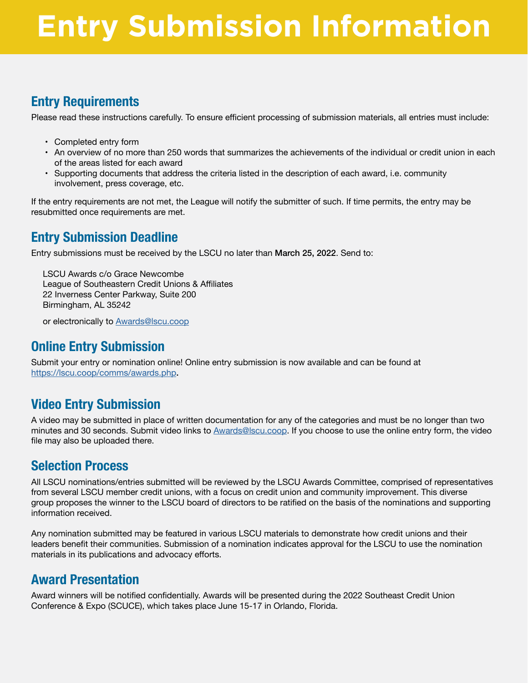## **Entry Submission Information**

## **Entry Requirements**

Please read these instructions carefully. To ensure efficient processing of submission materials, all entries must include:

- Completed entry form
- An overview of no more than 250 words that summarizes the achievements of the individual or credit union in each of the areas listed for each award
- Supporting documents that address the criteria listed in the description of each award, i.e. community involvement, press coverage, etc.

If the entry requirements are not met, the League will notify the submitter of such. If time permits, the entry may be resubmitted once requirements are met.

## **Entry Submission Deadline**

Entry submissions must be received by the LSCU no later than March 25, 2022. Send to:

LSCU Awards c/o Grace Newcombe League of Southeastern Credit Unions & Affiliates 22 Inverness Center Parkway, Suite 200 Birmingham, AL 35242

or electronically to [Awards@lscu.coop](mailto:Awards%40lscu.coop?subject=)

## **Online Entry Submission**

Submit your entry or nomination online! Online entry submission is now available and can be found at https://lscu.coop/comms/awards.php.

## **Video Entry Submission**

A video may be submitted in place of written documentation for any of the categories and must be no longer than two minutes and 30 seconds. Submit video links to [Awards@lscu.coop](mailto:Awards%40lscu.coop?subject=). If you choose to use the online entry form, the video file may also be uploaded there.

## **Selection Process**

All LSCU nominations/entries submitted will be reviewed by the LSCU Awards Committee, comprised of representatives from several LSCU member credit unions, with a focus on credit union and community improvement. This diverse group proposes the winner to the LSCU board of directors to be ratified on the basis of the nominations and supporting information received.

Any nomination submitted may be featured in various LSCU materials to demonstrate how credit unions and their leaders benefit their communities. Submission of a nomination indicates approval for the LSCU to use the nomination materials in its publications and advocacy efforts.

## **Award Presentation**

Award winners will be notified confidentially. Awards will be presented during the 2022 Southeast Credit Union Conference & Expo (SCUCE), which takes place June 15-17 in Orlando, Florida.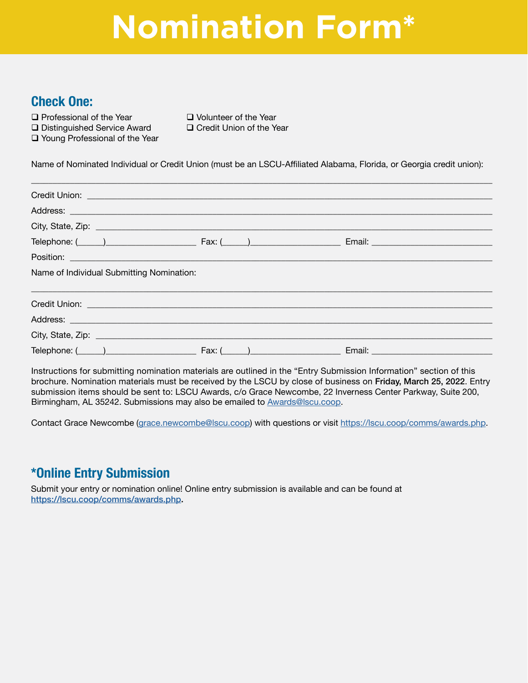# **Nomination Form\***

### **Check One:**

 $\Box$  Distinguished Service Award

 $\Box$  Young Professional of the Year

 $\square$  Professional of the Year  $\square$  Volunteer of the Year  $\square$  Distinguished Service Award  $\square$  Credit Union of the Year

Name of Nominated Individual or Credit Union (must be an LSCU-Affiliated Alabama, Florida, or Georgia credit union):

| Credit Union: <u>Question and Credit Union and Credit Union</u>                                                                                                                                                                |  |  |
|--------------------------------------------------------------------------------------------------------------------------------------------------------------------------------------------------------------------------------|--|--|
|                                                                                                                                                                                                                                |  |  |
|                                                                                                                                                                                                                                |  |  |
|                                                                                                                                                                                                                                |  |  |
| Position: New York State Contract of the Contract of the Contract of the Contract of the Contract of the Contract of the Contract of the Contract of the Contract of the Contract of the Contract of the Contract of the Contr |  |  |
| Name of Individual Submitting Nomination:                                                                                                                                                                                      |  |  |
|                                                                                                                                                                                                                                |  |  |
|                                                                                                                                                                                                                                |  |  |
|                                                                                                                                                                                                                                |  |  |
| Telephone: ( ) Fax: ( ) Fax: Email: Email: Email: Email: Email: Email: Email: Email: Email: Email: Email: Email: Email: Email: Email: Email: Email: Email: Email: Email: Email: Email: Email: Email: Email: Email: Email: Emai |  |  |

Instructions for submitting nomination materials are outlined in the "Entry Submission Information" section of this brochure. Nomination materials must be received by the LSCU by close of business on Friday, March 25, 2022. Entry submission items should be sent to: LSCU Awards, c/o Grace Newcombe, 22 Inverness Center Parkway, Suite 200, Birmingham, AL 35242. Submissions may also be emailed to [Awards@lscu.coop](mailto:Awards%40lscu.coop?subject=).

Contact Grace Newcombe ([grace.newcombe@lscu.coop\)](mailto:grace.newcombe%40lscu.coop?subject=) with questions or visit https://lscu.coop/comms/awards.php.

### **\*Online Entry Submission**

Submit your entry or nomination online! Online entry submission is available and can be found at <https://lscu.coop/comms/awards.php>.